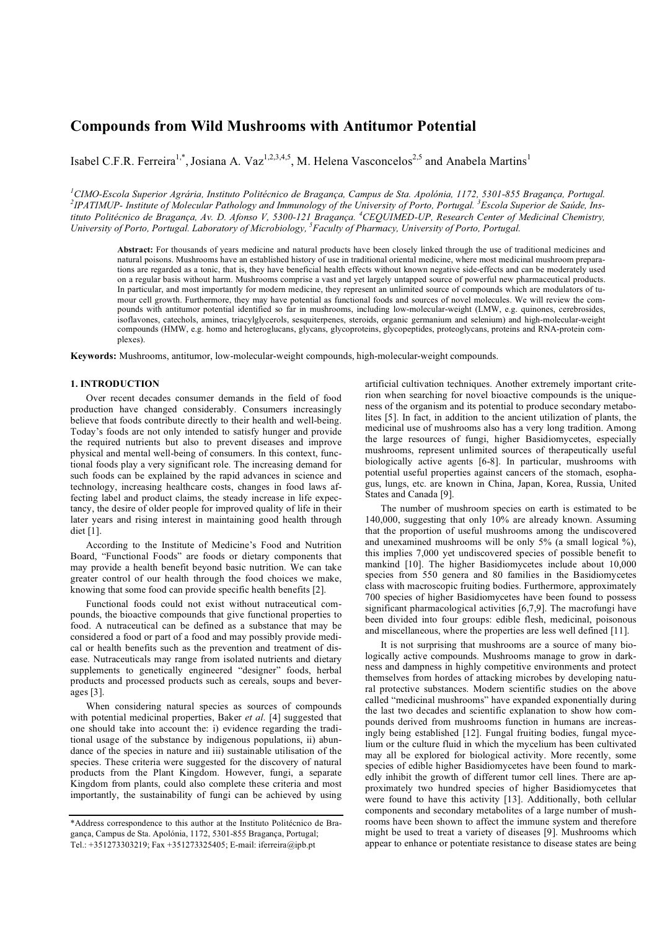# **Compounds from Wild Mushrooms with Antitumor Potential**

Isabel C.F.R. Ferreira<sup>1,\*</sup>, Josiana A. Vaz<sup>1,2,3,4,5</sup>, M. Helena Vasconcelos<sup>2,5</sup> and Anabela Martins<sup>1</sup>

*1 CIMO-Escola Superior Agrária, Instituto Politécnico de Bragança, Campus de Sta. Apolónia, 1172, 5301-855 Bragança, Portugal. 2 IPATIMUP- Institute of Molecular Pathology and Immunology of the University of Porto, Portugal. <sup>3</sup> Escola Superior de Saúde, Ins*tituto Politécnico de Bragança, Av. D. Afonso V, 5300-121 Bragança. <sup>4</sup>CEQUIMED-UP, Research Center of Medicinal Chemistry, University of Porto, Portugal. Laboratory of Microbiology, <sup>5</sup> Faculty of Pharmacy, University of Porto, Portugal.

**Abstract:** For thousands of years medicine and natural products have been closely linked through the use of traditional medicines and natural poisons. Mushrooms have an established history of use in traditional oriental medicine, where most medicinal mushroom preparations are regarded as a tonic, that is, they have beneficial health effects without known negative side-effects and can be moderately used on a regular basis without harm. Mushrooms comprise a vast and yet largely untapped source of powerful new pharmaceutical products. In particular, and most importantly for modern medicine, they represent an unlimited source of compounds which are modulators of tumour cell growth. Furthermore, they may have potential as functional foods and sources of novel molecules. We will review the compounds with antitumor potential identified so far in mushrooms, including low-molecular-weight (LMW, e.g. quinones, cerebrosides, isoflavones, catechols, amines, triacylglycerols, sesquiterpenes, steroids, organic germanium and selenium) and high-molecular-weight compounds (HMW, e.g. homo and heteroglucans, glycans, glycoproteins, glycopeptides, proteoglycans, proteins and RNA-protein complexes).

**Keywords:** Mushrooms, antitumor, low-molecular-weight compounds, high-molecular-weight compounds.

### **1. INTRODUCTION**

 Over recent decades consumer demands in the field of food production have changed considerably. Consumers increasingly believe that foods contribute directly to their health and well-being. Today's foods are not only intended to satisfy hunger and provide the required nutrients but also to prevent diseases and improve physical and mental well-being of consumers. In this context, functional foods play a very significant role. The increasing demand for such foods can be explained by the rapid advances in science and technology, increasing healthcare costs, changes in food laws affecting label and product claims, the steady increase in life expectancy, the desire of older people for improved quality of life in their later years and rising interest in maintaining good health through diet [1].

 According to the Institute of Medicine's Food and Nutrition Board, "Functional Foods" are foods or dietary components that may provide a health benefit beyond basic nutrition. We can take greater control of our health through the food choices we make, knowing that some food can provide specific health benefits [2].

 Functional foods could not exist without nutraceutical compounds, the bioactive compounds that give functional properties to food. A nutraceutical can be defined as a substance that may be considered a food or part of a food and may possibly provide medical or health benefits such as the prevention and treatment of disease. Nutraceuticals may range from isolated nutrients and dietary supplements to genetically engineered "designer" foods, herbal products and processed products such as cereals, soups and beverages [3].

 When considering natural species as sources of compounds with potential medicinal properties, Baker *et al*. [4] suggested that one should take into account the: i) evidence regarding the traditional usage of the substance by indigenous populations, ii) abundance of the species in nature and iii) sustainable utilisation of the species. These criteria were suggested for the discovery of natural products from the Plant Kingdom. However, fungi, a separate Kingdom from plants, could also complete these criteria and most importantly, the sustainability of fungi can be achieved by using artificial cultivation techniques. Another extremely important criterion when searching for novel bioactive compounds is the uniqueness of the organism and its potential to produce secondary metabolites [5]. In fact, in addition to the ancient utilization of plants, the medicinal use of mushrooms also has a very long tradition. Among the large resources of fungi, higher Basidiomycetes, especially mushrooms, represent unlimited sources of therapeutically useful biologically active agents [6-8]. In particular, mushrooms with potential useful properties against cancers of the stomach, esophagus, lungs, etc. are known in China, Japan, Korea, Russia, United States and Canada [9].

 The number of mushroom species on earth is estimated to be 140,000, suggesting that only 10% are already known. Assuming that the proportion of useful mushrooms among the undiscovered and unexamined mushrooms will be only  $5\%$  (a small logical  $\%$ ), this implies 7,000 yet undiscovered species of possible benefit to mankind [10]. The higher Basidiomycetes include about 10,000 species from 550 genera and 80 families in the Basidiomycetes class with macroscopic fruiting bodies. Furthermore, approximately 700 species of higher Basidiomycetes have been found to possess significant pharmacological activities [6,7,9]. The macrofungi have been divided into four groups: edible flesh, medicinal, poisonous and miscellaneous, where the properties are less well defined [11].

 It is not surprising that mushrooms are a source of many biologically active compounds. Mushrooms manage to grow in darkness and dampness in highly competitive environments and protect themselves from hordes of attacking microbes by developing natural protective substances. Modern scientific studies on the above called "medicinal mushrooms" have expanded exponentially during the last two decades and scientific explanation to show how compounds derived from mushrooms function in humans are increasingly being established [12]. Fungal fruiting bodies, fungal mycelium or the culture fluid in which the mycelium has been cultivated may all be explored for biological activity. More recently, some species of edible higher Basidiomycetes have been found to markedly inhibit the growth of different tumor cell lines. There are approximately two hundred species of higher Basidiomycetes that were found to have this activity [13]. Additionally, both cellular components and secondary metabolites of a large number of mushrooms have been shown to affect the immune system and therefore might be used to treat a variety of diseases [9]. Mushrooms which appear to enhance or potentiate resistance to disease states are being

<sup>\*</sup>Address correspondence to this author at the Instituto Politécnico de Bragança, Campus de Sta. Apolónia, 1172, 5301-855 Bragança, Portugal; Tel.: +351273303219; Fax +351273325405; E-mail: iferreira@ipb.pt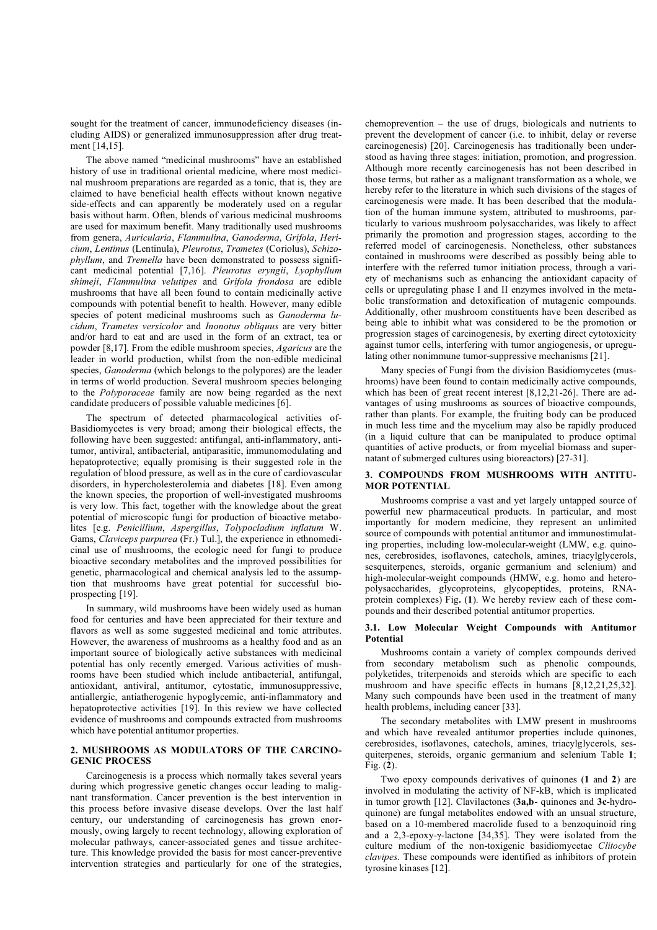sought for the treatment of cancer, immunodeficiency diseases (including AIDS) or generalized immunosuppression after drug treatment [14,15].

 The above named "medicinal mushrooms" have an established history of use in traditional oriental medicine, where most medicinal mushroom preparations are regarded as a tonic, that is, they are claimed to have beneficial health effects without known negative side-effects and can apparently be moderately used on a regular basis without harm. Often, blends of various medicinal mushrooms are used for maximum benefit. Many traditionally used mushrooms from genera, *Auricularia*, *Flammulina*, *Ganoderma*, *Grifola*, *Hericium*, *Lentinus* (Lentinula), *Pleurotus*, *Trametes* (Coriolus), *Schizophyllum*, and *Tremella* have been demonstrated to possess significant medicinal potential [7,16]. *Pleurotus eryngii*, *Lyophyllum shimeji*, *Flammulina velutipes* and *Grifola frondosa* are edible mushrooms that have all been found to contain medicinally active compounds with potential benefit to health. However, many edible species of potent medicinal mushrooms such as *Ganoderma lucidum*, *Trametes versicolor* and *Inonotus obliquus* are very bitter and/or hard to eat and are used in the form of an extract, tea or powder [8,17]. From the edible mushroom species, *Agaricus* are the leader in world production, whilst from the non-edible medicinal species, *Ganoderma* (which belongs to the polypores) are the leader in terms of world production. Several mushroom species belonging to the *Polyporaceae* family are now being regarded as the next candidate producers of possible valuable medicines [6].

 The spectrum of detected pharmacological activities of-Basidiomycetes is very broad; among their biological effects, the following have been suggested: antifungal, anti-inflammatory, antitumor, antiviral, antibacterial, antiparasitic, immunomodulating and hepatoprotective; equally promising is their suggested role in the regulation of blood pressure, as well as in the cure of cardiovascular disorders, in hypercholesterolemia and diabetes [18]. Even among the known species, the proportion of well-investigated mushrooms is very low. This fact, together with the knowledge about the great potential of microscopic fungi for production of bioactive metabolites [e.g. *Penicillium*, *Aspergillus*, *Tolypocladium inflatum* W. Gams, *Claviceps purpurea* (Fr.) Tul.], the experience in ethnomedicinal use of mushrooms, the ecologic need for fungi to produce bioactive secondary metabolites and the improved possibilities for genetic, pharmacological and chemical analysis led to the assumption that mushrooms have great potential for successful bioprospecting [19].

 In summary, wild mushrooms have been widely used as human food for centuries and have been appreciated for their texture and flavors as well as some suggested medicinal and tonic attributes. However, the awareness of mushrooms as a healthy food and as an important source of biologically active substances with medicinal potential has only recently emerged. Various activities of mushrooms have been studied which include antibacterial, antifungal, antioxidant, antiviral, antitumor, cytostatic, immunosuppressive, antiallergic, antiatherogenic hypoglycemic, anti-inflammatory and hepatoprotective activities [19]. In this review we have collected evidence of mushrooms and compounds extracted from mushrooms which have potential antitumor properties.

### **2. MUSHROOMS AS MODULATORS OF THE CARCINO-GENIC PROCESS**

 Carcinogenesis is a process which normally takes several years during which progressive genetic changes occur leading to malignant transformation. Cancer prevention is the best intervention in this process before invasive disease develops. Over the last half century, our understanding of carcinogenesis has grown enormously, owing largely to recent technology, allowing exploration of molecular pathways, cancer-associated genes and tissue architecture. This knowledge provided the basis for most cancer-preventive intervention strategies and particularly for one of the strategies,

chemoprevention – the use of drugs, biologicals and nutrients to prevent the development of cancer (i.e. to inhibit, delay or reverse carcinogenesis) [20]. Carcinogenesis has traditionally been understood as having three stages: initiation, promotion, and progression. Although more recently carcinogenesis has not been described in those terms, but rather as a malignant transformation as a whole, we hereby refer to the literature in which such divisions of the stages of carcinogenesis were made. It has been described that the modulation of the human immune system, attributed to mushrooms, particularly to various mushroom polysaccharides, was likely to affect primarily the promotion and progression stages, according to the referred model of carcinogenesis. Nonetheless, other substances contained in mushrooms were described as possibly being able to interfere with the referred tumor initiation process, through a variety of mechanisms such as enhancing the antioxidant capacity of cells or upregulating phase I and II enzymes involved in the metabolic transformation and detoxification of mutagenic compounds. Additionally, other mushroom constituents have been described as being able to inhibit what was considered to be the promotion or progression stages of carcinogenesis, by exerting direct cytotoxicity against tumor cells, interfering with tumor angiogenesis, or upregulating other nonimmune tumor-suppressive mechanisms [21].

 Many species of Fungi from the division Basidiomycetes (mushrooms) have been found to contain medicinally active compounds, which has been of great recent interest [8,12,21-26]. There are advantages of using mushrooms as sources of bioactive compounds, rather than plants. For example, the fruiting body can be produced in much less time and the mycelium may also be rapidly produced (in a liquid culture that can be manipulated to produce optimal quantities of active products, or from mycelial biomass and supernatant of submerged cultures using bioreactors) [27-31].

### **3. COMPOUNDS FROM MUSHROOMS WITH ANTITU-MOR POTENTIAL**

 Mushrooms comprise a vast and yet largely untapped source of powerful new pharmaceutical products. In particular, and most importantly for modern medicine, they represent an unlimited source of compounds with potential antitumor and immunostimulating properties, including low-molecular-weight (LMW, e.g. quinones, cerebrosides, isoflavones, catechols, amines, triacylglycerols, sesquiterpenes, steroids, organic germanium and selenium) and high-molecular-weight compounds (HMW, e.g. homo and heteropolysaccharides, glycoproteins, glycopeptides, proteins, RNAprotein complexes) Fig**.** (**1**). We hereby review each of these compounds and their described potential antitumor properties.

### **3.1. Low Molecular Weight Compounds with Antitumor Potential**

 Mushrooms contain a variety of complex compounds derived from secondary metabolism such as phenolic compounds, polyketides, triterpenoids and steroids which are specific to each mushroom and have specific effects in humans [8,12,21,25,32]. Many such compounds have been used in the treatment of many health problems, including cancer [33].

 The secondary metabolites with LMW present in mushrooms and which have revealed antitumor properties include quinones, cerebrosides, isoflavones, catechols, amines, triacylglycerols, sesquiterpenes, steroids, organic germanium and selenium Table **1**; Fig. (**2**).

 Two epoxy compounds derivatives of quinones (**1** and **2**) are involved in modulating the activity of NF-kB, which is implicated in tumor growth [12]. Clavilactones (**3a,b**- quinones and **3c**-hydroquinone) are fungal metabolites endowed with an unsual structure, based on a 10-membered macrolide fused to a benzoquinoid ring and a  $2,3$ -epoxy- $\gamma$ -lactone [34,35]. They were isolated from the culture medium of the non-toxigenic basidiomycetae *Clitocybe clavipes*. These compounds were identified as inhibitors of protein tyrosine kinases [12].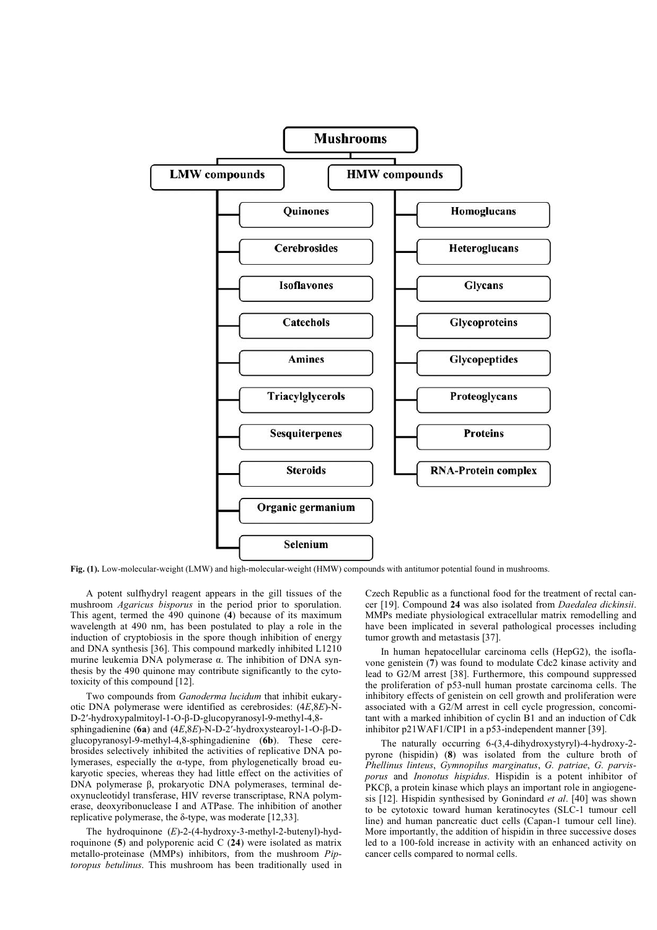

**Fig. (1).** Low-molecular-weight (LMW) and high-molecular-weight (HMW) compounds with antitumor potential found in mushrooms.

 A potent sulfhydryl reagent appears in the gill tissues of the mushroom *Agaricus bisporus* in the period prior to sporulation. This agent, termed the 490 quinone (**4**) because of its maximum wavelength at 490 nm, has been postulated to play a role in the induction of cryptobiosis in the spore though inhibition of energy and DNA synthesis [36]. This compound markedly inhibited L1210 murine leukemia DNA polymerase  $\alpha$ . The inhibition of DNA synthesis by the 490 quinone may contribute significantly to the cytotoxicity of this compound [12].

 Two compounds from *Ganoderma lucidum* that inhibit eukaryotic DNA polymerase were identified as cerebrosides: (4*E*,8*E*)-N-D-2'-hydroxypalmitoyl-1-O-β-D-glucopyranosyl-9-methyl-4,8sphingadienine (6a) and (4*E*,8*E*)-N-D-2'-hydroxystearoyl-1-O-β-Dglucopyranosyl-9-methyl-4,8-sphingadienine (**6b**). These cerebrosides selectively inhibited the activities of replicative DNA polymerases, especially the  $\alpha$ -type, from phylogenetically broad eukaryotic species, whereas they had little effect on the activities of  $DNA$  polymerase  $\beta$ , prokaryotic DNA polymerases, terminal deoxynucleotidyl transferase, HIV reverse transcriptase, RNA polymerase, deoxyribonuclease I and ATPase. The inhibition of another replicative polymerase, the  $\delta$ -type, was moderate [12,33].

 The hydroquinone (*E*)-2-(4-hydroxy-3-methyl-2-butenyl)-hydroquinone (**5**) and polyporenic acid C (**24**) were isolated as matrix metallo-proteinase (MMPs) inhibitors, from the mushroom *Piptoropus betulinus*. This mushroom has been traditionally used in Czech Republic as a functional food for the treatment of rectal cancer [19]. Compound **24** was also isolated from *Daedalea dickinsii*. MMPs mediate physiological extracellular matrix remodelling and have been implicated in several pathological processes including tumor growth and metastasis [37].

 In human hepatocellular carcinoma cells (HepG2), the isoflavone genistein (**7**) was found to modulate Cdc2 kinase activity and lead to G2/M arrest [38]. Furthermore, this compound suppressed the proliferation of p53-null human prostate carcinoma cells. The inhibitory effects of genistein on cell growth and proliferation were associated with a G2/M arrest in cell cycle progression, concomitant with a marked inhibition of cyclin B1 and an induction of Cdk inhibitor p21WAF1/CIP1 in a p53-independent manner [39].

 The naturally occurring 6-(3,4-dihydroxystyryl)-4-hydroxy-2 pyrone (hispidin) (**8**) was isolated from the culture broth of *Phellinus linteus*, *Gymnopilus marginatus*, *G. patriae*, *G. parvisporus* and *Inonotus hispidus*. Hispidin is a potent inhibitor of PKC $\beta$ , a protein kinase which plays an important role in angiogenesis [12]. Hispidin synthesised by Gonindard *et al*. [40] was shown to be cytotoxic toward human keratinocytes (SLC-1 tumour cell line) and human pancreatic duct cells (Capan-1 tumour cell line). More importantly, the addition of hispidin in three successive doses led to a 100-fold increase in activity with an enhanced activity on cancer cells compared to normal cells.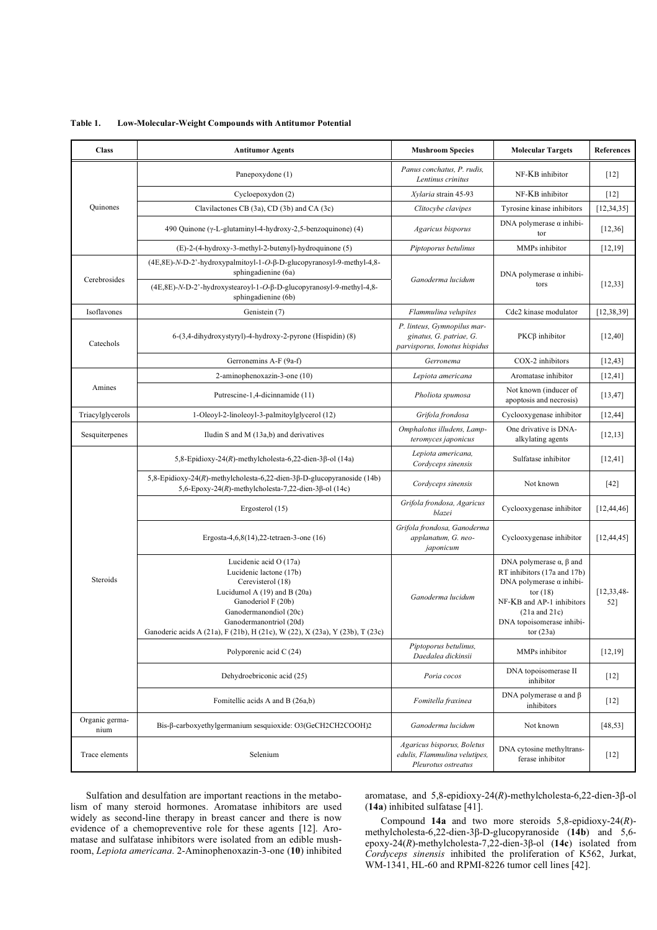**Table 1. Low-Molecular-Weight Compounds with Antitumor Potential** 

| <b>Class</b>           | <b>Antitumor Agents</b>                                                                                                                                                                                                                                               | <b>Mushroom Species</b>                                                                 | <b>Molecular Targets</b>                                                                                                                                                                                                                                                                                                                                                                                                                                                                                                                                                                                                                                                                                                                                                                                                                                 | <b>References</b>   |
|------------------------|-----------------------------------------------------------------------------------------------------------------------------------------------------------------------------------------------------------------------------------------------------------------------|-----------------------------------------------------------------------------------------|----------------------------------------------------------------------------------------------------------------------------------------------------------------------------------------------------------------------------------------------------------------------------------------------------------------------------------------------------------------------------------------------------------------------------------------------------------------------------------------------------------------------------------------------------------------------------------------------------------------------------------------------------------------------------------------------------------------------------------------------------------------------------------------------------------------------------------------------------------|---------------------|
|                        | Panepoxydone (1)                                                                                                                                                                                                                                                      | Panus conchatus, P. rudis,<br>Lentinus crinitus                                         | NF-KB inhibitor                                                                                                                                                                                                                                                                                                                                                                                                                                                                                                                                                                                                                                                                                                                                                                                                                                          | $[12]$              |
|                        | Cycloepoxydon (2)                                                                                                                                                                                                                                                     | Xylaria strain 45-93                                                                    | NF-KB inhibitor                                                                                                                                                                                                                                                                                                                                                                                                                                                                                                                                                                                                                                                                                                                                                                                                                                          | $[12]$              |
| Quinones               | Clavilactones CB (3a), CD (3b) and CA (3c)                                                                                                                                                                                                                            | Clitocybe clavipes                                                                      | Tyrosine kinase inhibitors<br>DNA polymerase $\alpha$ inhibi-<br>tor<br>MMPs inhibitor<br>DNA polymerase $\alpha$ inhibi-<br>tors<br>Cdc2 kinase modulator<br>$PKC\beta$ inhibitor<br>COX-2 inhibitors<br>Aromatase inhibitor<br>Not known (inducer of<br>apoptosis and necrosis)<br>Cyclooxygenase inhibitor<br>One drivative is DNA-<br>alkylating agents<br>Sulfatase inhibitor<br>Not known<br>Cyclooxygenase inhibitor<br>Cyclooxygenase inhibitor<br>DNA polymerase $\alpha$ , $\beta$ and<br>RT inhibitors (17a and 17b)<br>DNA polymerase $\alpha$ inhibi-<br>tor $(18)$<br>NF-KB and AP-1 inhibitors<br>$(21a$ and $21c)$<br>DNA topoisomerase inhibi-<br>tor $(23a)$<br>MMPs inhibitor<br>DNA topoisomerase II<br>inhibitor<br>DNA polymerase $\alpha$ and $\beta$<br>inhibitors<br>Not known<br>DNA cytosine methyltrans-<br>ferase inhibitor | [12, 34, 35]        |
|                        | 490 Quinone (γ-L-glutaminyl-4-hydroxy-2,5-benzoquinone) (4)                                                                                                                                                                                                           | Agaricus bisporus                                                                       |                                                                                                                                                                                                                                                                                                                                                                                                                                                                                                                                                                                                                                                                                                                                                                                                                                                          | [12,36]             |
|                        | (E)-2-(4-hydroxy-3-methyl-2-butenyl)-hydroquinone (5)                                                                                                                                                                                                                 | Piptoporus betulinus                                                                    |                                                                                                                                                                                                                                                                                                                                                                                                                                                                                                                                                                                                                                                                                                                                                                                                                                                          | [12,19]             |
| Cerebrosides           | (4E, 8E)-N-D-2'-hydroxypalmitoyl-1-O-β-D-glucopyranosyl-9-methyl-4,8-<br>sphingadienine (6a)                                                                                                                                                                          | Ganoderma lucidum                                                                       |                                                                                                                                                                                                                                                                                                                                                                                                                                                                                                                                                                                                                                                                                                                                                                                                                                                          | [12,33]             |
|                        | (4E,8E)-N-D-2'-hydroxystearoyl-1-O-β-D-glucopyranosyl-9-methyl-4,8-<br>sphingadienine (6b)                                                                                                                                                                            |                                                                                         |                                                                                                                                                                                                                                                                                                                                                                                                                                                                                                                                                                                                                                                                                                                                                                                                                                                          |                     |
| Isoflavones            | Genistein (7)                                                                                                                                                                                                                                                         | Flammulina velupites                                                                    |                                                                                                                                                                                                                                                                                                                                                                                                                                                                                                                                                                                                                                                                                                                                                                                                                                                          | [12, 38, 39]        |
| Catechols              | 6-(3,4-dihydroxystyryl)-4-hydroxy-2-pyrone (Hispidin) (8)                                                                                                                                                                                                             | P. linteus, Gymnopilus mar-<br>ginatus, G. patriae, G.<br>parvisporus, Ionotus hispidus |                                                                                                                                                                                                                                                                                                                                                                                                                                                                                                                                                                                                                                                                                                                                                                                                                                                          | [12, 40]            |
|                        | Gerronemins A-F (9a-f)                                                                                                                                                                                                                                                | Gerronema                                                                               |                                                                                                                                                                                                                                                                                                                                                                                                                                                                                                                                                                                                                                                                                                                                                                                                                                                          | [12, 43]            |
|                        | 2-aminophenoxazin-3-one (10)                                                                                                                                                                                                                                          | Lepiota americana                                                                       |                                                                                                                                                                                                                                                                                                                                                                                                                                                                                                                                                                                                                                                                                                                                                                                                                                                          | [12, 41]            |
| Amines                 | Putrescine-1,4-dicinnamide (11)                                                                                                                                                                                                                                       | Pholiota spumosa                                                                        |                                                                                                                                                                                                                                                                                                                                                                                                                                                                                                                                                                                                                                                                                                                                                                                                                                                          | [13, 47]            |
| Triacylglycerols       | 1-Oleoyl-2-linoleoyl-3-palmitoylglycerol (12)                                                                                                                                                                                                                         | Grifola frondosa                                                                        |                                                                                                                                                                                                                                                                                                                                                                                                                                                                                                                                                                                                                                                                                                                                                                                                                                                          | [12, 44]            |
| Sesquiterpenes         | Iludin S and M (13a,b) and derivatives                                                                                                                                                                                                                                | Omphalotus illudens, Lamp-<br>teromyces japonicus                                       |                                                                                                                                                                                                                                                                                                                                                                                                                                                                                                                                                                                                                                                                                                                                                                                                                                                          | [12, 13]            |
|                        | 5,8-Epidioxy-24(R)-methylcholesta-6,22-dien-3β-ol (14a)                                                                                                                                                                                                               | Lepiota americana,<br>Cordyceps sinensis                                                |                                                                                                                                                                                                                                                                                                                                                                                                                                                                                                                                                                                                                                                                                                                                                                                                                                                          | [12, 41]            |
|                        | 5,8-Epidioxy-24(R)-methylcholesta-6,22-dien-3β-D-glucopyranoside (14b)<br>5,6-Epoxy-24(R)-methylcholesta-7,22-dien-3 $\beta$ -ol (14c)                                                                                                                                | Cordyceps sinensis                                                                      |                                                                                                                                                                                                                                                                                                                                                                                                                                                                                                                                                                                                                                                                                                                                                                                                                                                          | $[42]$              |
|                        | Ergosterol (15)                                                                                                                                                                                                                                                       | Grifola frondosa, Agaricus<br>blazei                                                    |                                                                                                                                                                                                                                                                                                                                                                                                                                                                                                                                                                                                                                                                                                                                                                                                                                                          | [12, 44, 46]        |
|                        | Ergosta-4,6,8(14),22-tetraen-3-one (16)                                                                                                                                                                                                                               | Grifola frondosa, Ganoderma<br>applanatum, G. neo-<br>japonicum                         |                                                                                                                                                                                                                                                                                                                                                                                                                                                                                                                                                                                                                                                                                                                                                                                                                                                          | [12, 44, 45]        |
| Steroids               | Lucidenic acid O (17a)<br>Lucidenic lactone (17b)<br>Cerevisterol (18)<br>Lucidumol A $(19)$ and B $(20a)$<br>Ganoderiol F (20b)<br>Ganodermanondiol (20c)<br>Ganodermanontriol (20d)<br>Ganoderic acids A (21a), F (21b), H (21c), W (22), X (23a), Y (23b), T (23c) | Ganoderma lucidum                                                                       |                                                                                                                                                                                                                                                                                                                                                                                                                                                                                                                                                                                                                                                                                                                                                                                                                                                          | [12, 33, 48]<br>52] |
|                        | Polyporenic acid C (24)                                                                                                                                                                                                                                               | Piptoporus betulinus,<br>Daedalea dickinsii                                             |                                                                                                                                                                                                                                                                                                                                                                                                                                                                                                                                                                                                                                                                                                                                                                                                                                                          | [12, 19]            |
|                        | Dehydroebriconic acid (25)                                                                                                                                                                                                                                            | Poria cocos                                                                             |                                                                                                                                                                                                                                                                                                                                                                                                                                                                                                                                                                                                                                                                                                                                                                                                                                                          | $[12]$              |
|                        | Fomitellic acids A and B (26a,b)                                                                                                                                                                                                                                      | Fomitella fraxinea                                                                      |                                                                                                                                                                                                                                                                                                                                                                                                                                                                                                                                                                                                                                                                                                                                                                                                                                                          | $[12]$              |
| Organic germa-<br>nium | Bis-β-carboxyethylgermanium sesquioxide: O3(GeCH2CH2COOH)2                                                                                                                                                                                                            | Ganoderma lucidum                                                                       |                                                                                                                                                                                                                                                                                                                                                                                                                                                                                                                                                                                                                                                                                                                                                                                                                                                          | [48, 53]            |
| Trace elements         | Selenium                                                                                                                                                                                                                                                              | Agaricus bisporus, Boletus<br>edulis, Flammulina velutipes,<br>Pleurotus ostreatus      |                                                                                                                                                                                                                                                                                                                                                                                                                                                                                                                                                                                                                                                                                                                                                                                                                                                          | $[12]$              |

 Sulfation and desulfation are important reactions in the metabolism of many steroid hormones. Aromatase inhibitors are used widely as second-line therapy in breast cancer and there is now evidence of a chemopreventive role for these agents [12]. Aromatase and sulfatase inhibitors were isolated from an edible mushroom, *Lepiota americana*. 2-Aminophenoxazin-3-one (**10**) inhibited

aromatase, and 5,8-epidioxy-24(R)-methylcholesta-6,22-dien-3β-ol (**14a**) inhibited sulfatase [41].

 Compound **14a** and two more steroids 5,8-epidioxy-24(*R*) methylcholesta-6,22-dien-3β-D-glucopyranoside (14b) and 5,6epoxy-24(R)-methylcholesta-7,22-dien-3β-ol (14c) isolated from *Cordyceps sinensis* inhibited the proliferation of K562, Jurkat, WM-1341, HL-60 and RPMI-8226 tumor cell lines [42].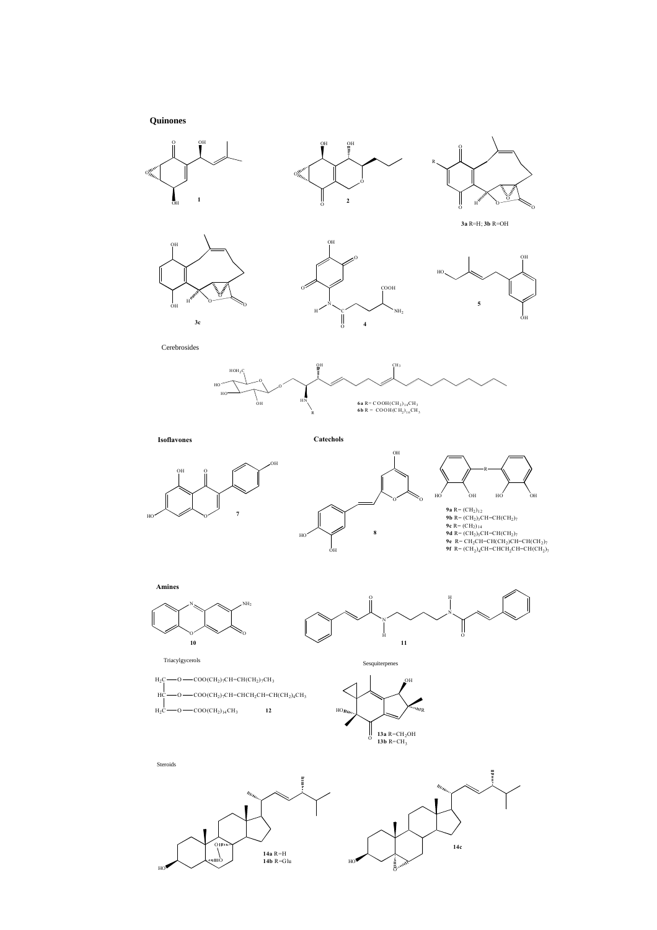**Quinones**



**9a** R= (CH<sub>2</sub>)<sub>12</sub><br>**9b** R= (CH<sub>2</sub>)<sub>2</sub>CH=CH(CH<sub>2</sub>)<sub>7</sub><br>**9d R= (CH<sub>2)14</sub>**<br>**9d R= (CH<sub>2</sub>)<sub>3</sub>CH=CH(CH<sub>2</sub>)<sub>7</sub><br><b>9e R= CH<sub>2</sub>CH=CH(CH<sub>2</sub>)7CH=CH(CH<sub>2</sub>)7<br><b>9f R= (CH<sub>2</sub>)<sub>4</sub>CH=CHCH<sub>2</sub>CH=CH(CH<sub>2</sub>)7**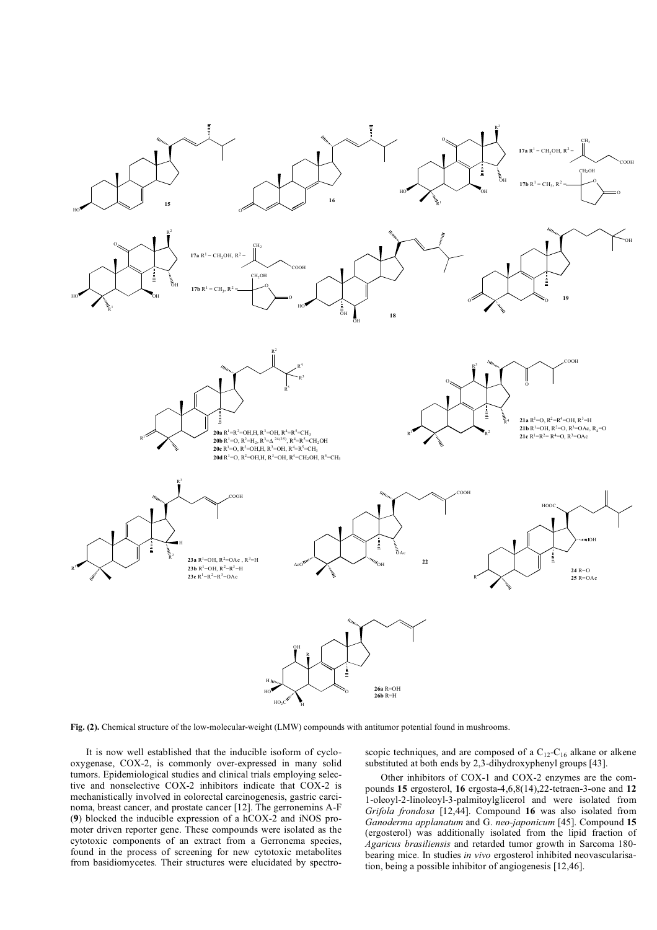

**Fig. (2).** Chemical structure of the low-molecular-weight (LMW) compounds with antitumor potential found in mushrooms.

 It is now well established that the inducible isoform of cyclooxygenase, COX-2, is commonly over-expressed in many solid tumors. Epidemiological studies and clinical trials employing selective and nonselective COX-2 inhibitors indicate that COX-2 is mechanistically involved in colorectal carcinogenesis, gastric carcinoma, breast cancer, and prostate cancer [12]. The gerronemins A-F (**9**) blocked the inducible expression of a hCOX-2 and iNOS promoter driven reporter gene. These compounds were isolated as the cytotoxic components of an extract from a Gerronema species, found in the process of screening for new cytotoxic metabolites from basidiomycetes. Their structures were elucidated by spectro-

scopic techniques, and are composed of a  $C_{12}$ - $C_{16}$  alkane or alkene substituted at both ends by 2,3-dihydroxyphenyl groups [43].

 Other inhibitors of COX-1 and COX-2 enzymes are the compounds **15** ergosterol, **16** ergosta-4,6,8(14),22-tetraen-3-one and **12** 1-oleoyl-2-linoleoyl-3-palmitoylglicerol and were isolated from *Grifola frondosa* [12,44]. Compound **16** was also isolated from *Ganoderma applanatum* and G. *neo-japonicum* [45]. Compound **15** (ergosterol) was additionally isolated from the lipid fraction of *Agaricus brasiliensis* and retarded tumor growth in Sarcoma 180 bearing mice. In studies *in vivo* ergosterol inhibited neovascularisation, being a possible inhibitor of angiogenesis [12,46].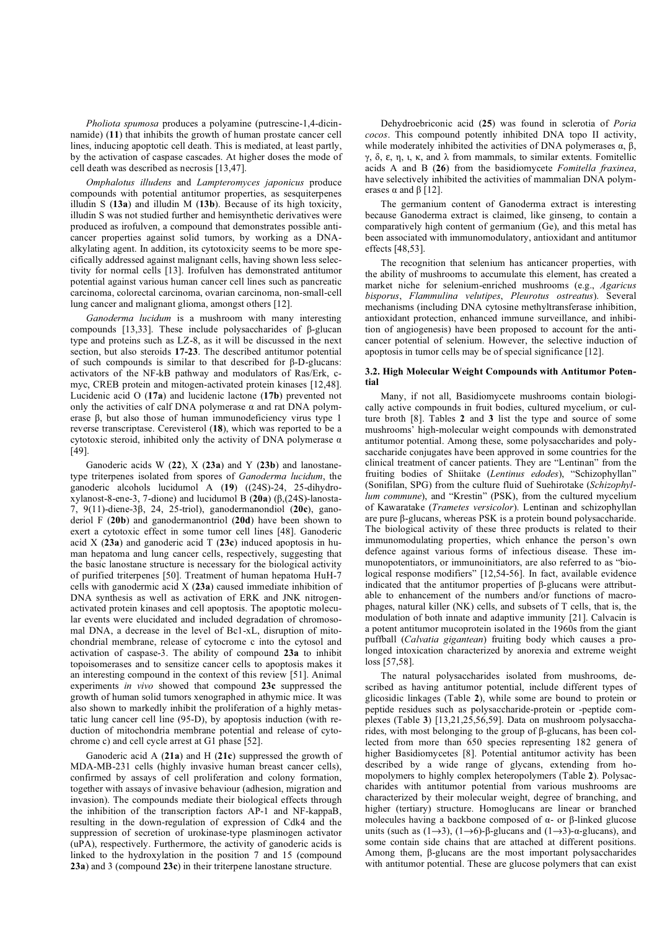*Pholiota spumosa* produces a polyamine (putrescine-1,4-dicinnamide) (**11**) that inhibits the growth of human prostate cancer cell lines, inducing apoptotic cell death. This is mediated, at least partly, by the activation of caspase cascades. At higher doses the mode of cell death was described as necrosis [13,47].

 *Omphalotus illudens* and *Lampteromyces japonicus* produce compounds with potential antitumor properties, as sesquiterpenes illudin S (**13a**) and illudin M (**13b**). Because of its high toxicity, illudin S was not studied further and hemisynthetic derivatives were produced as irofulven, a compound that demonstrates possible anticancer properties against solid tumors, by working as a DNAalkylating agent. In addition, its cytotoxicity seems to be more specifically addressed against malignant cells, having shown less selectivity for normal cells [13]. Irofulven has demonstrated antitumor potential against various human cancer cell lines such as pancreatic carcinoma, colorectal carcinoma, ovarian carcinoma, non-small-cell lung cancer and malignant glioma, amongst others [12].

 *Ganoderma lucidum* is a mushroom with many interesting compounds [13,33]. These include polysaccharides of  $\beta$ -glucan type and proteins such as LZ-8, as it will be discussed in the next section, but also steroids **17-23**. The described antitumor potential of such compounds is similar to that described for  $\beta$ -D-glucans: activators of the NF-kB pathway and modulators of Ras/Erk, cmyc, CREB protein and mitogen-activated protein kinases [12,48]. Lucidenic acid O (**17a**) and lucidenic lactone (**17b**) prevented not only the activities of calf DNA polymerase  $\alpha$  and rat DNA polymerase  $\beta$ , but also those of human immunodeficiency virus type 1 reverse transcriptase. Cerevisterol (**18**), which was reported to be a cytotoxic steroid, inhibited only the activity of DNA polymerase  $\alpha$ [49].

 Ganoderic acids W (**22**), X (**23a**) and Y (**23b**) and lanostanetype triterpenes isolated from spores of *Ganoderma lucidum*, the ganoderic alcohols lucidumol A (**19**) ((24S)-24, 25-dihydro $x$ ylanost-8-ene-3, 7-dione) and lucidumol B (20a) ( $\beta$ ,(24S)-lanosta-7, 9(11)-diene-3β, 24, 25-triol), ganodermanondiol (20c), ganoderiol F (**20b**) and ganodermanontriol (**20d**) have been shown to exert a cytotoxic effect in some tumor cell lines [48]. Ganoderic acid X (**23a**) and ganoderic acid T (**23c**) induced apoptosis in human hepatoma and lung cancer cells, respectively, suggesting that the basic lanostane structure is necessary for the biological activity of purified triterpenes [50]. Treatment of human hepatoma HuH-7 cells with ganodermic acid X (**23a**) caused immediate inhibition of DNA synthesis as well as activation of ERK and JNK nitrogenactivated protein kinases and cell apoptosis. The apoptotic molecular events were elucidated and included degradation of chromosomal DNA, a decrease in the level of Bc1-xL, disruption of mitochondrial membrane, release of cytocrome c into the cytosol and activation of caspase-3. The ability of compound **23a** to inhibit topoisomerases and to sensitize cancer cells to apoptosis makes it an interesting compound in the context of this review [51]. Animal experiments *in vivo* showed that compound **23c** suppressed the growth of human solid tumors xenographed in athymic mice. It was also shown to markedly inhibit the proliferation of a highly metastatic lung cancer cell line (95-D), by apoptosis induction (with reduction of mitochondria membrane potential and release of cytochrome c) and cell cycle arrest at G1 phase [52].

 Ganoderic acid A (**21a**) and H (**21c**) suppressed the growth of MDA-MB-231 cells (highly invasive human breast cancer cells), confirmed by assays of cell proliferation and colony formation, together with assays of invasive behaviour (adhesion, migration and invasion). The compounds mediate their biological effects through the inhibition of the transcription factors AP-1 and NF-kappaB, resulting in the down-regulation of expression of Cdk4 and the suppression of secretion of urokinase-type plasminogen activator (uPA), respectively. Furthermore, the activity of ganoderic acids is linked to the hydroxylation in the position 7 and 15 (compound **23a**) and 3 (compound **23c**) in their triterpene lanostane structure.

 Dehydroebriconic acid (**25**) was found in sclerotia of *Poria cocos*. This compound potently inhibited DNA topo II activity, while moderately inhibited the activities of DNA polymerases  $\alpha$ ,  $\beta$ ,  $\gamma$ ,  $\delta$ ,  $\varepsilon$ ,  $\eta$ ,  $\kappa$ , and  $\lambda$  from mammals, to similar extents. Fomitellic acids A and B (**26**) from the basidiomycete *Fomitella fraxinea*, have selectively inhibited the activities of mammalian DNA polymerases  $\alpha$  and  $\beta$  [12].

 The germanium content of Ganoderma extract is interesting because Ganoderma extract is claimed, like ginseng, to contain a comparatively high content of germanium (Ge), and this metal has been associated with immunomodulatory, antioxidant and antitumor effects [48,53].

 The recognition that selenium has anticancer properties, with the ability of mushrooms to accumulate this element, has created a market niche for selenium-enriched mushrooms (e.g., *Agaricus bisporus*, *Flammulina velutipes*, *Pleurotus ostreatus*). Several mechanisms (including DNA cytosine methyltransferase inhibition, antioxidant protection, enhanced immune surveillance, and inhibition of angiogenesis) have been proposed to account for the anticancer potential of selenium. However, the selective induction of apoptosis in tumor cells may be of special significance [12].

### **3.2. High Molecular Weight Compounds with Antitumor Potential**

 Many, if not all, Basidiomycete mushrooms contain biologically active compounds in fruit bodies, cultured mycelium, or culture broth [8]. Tables **2** and **3** list the type and source of some mushrooms' high-molecular weight compounds with demonstrated antitumor potential. Among these, some polysaccharides and polysaccharide conjugates have been approved in some countries for the clinical treatment of cancer patients. They are "Lentinan" from the fruiting bodies of Shiitake (*Lentinus edodes*), "Schizophyllan" (Sonifilan, SPG) from the culture fluid of Suehirotake (*Schizophyllum commune*), and "Krestin" (PSK), from the cultured mycelium of Kawaratake (*Trametes versicolor*). Lentinan and schizophyllan are pure  $\beta$ -glucans, whereas PSK is a protein bound polysaccharide. The biological activity of these three products is related to their immunomodulating properties, which enhance the person's own defence against various forms of infectious disease. These immunopotentiators, or immunoinitiators, are also referred to as "biological response modifiers" [12,54-56]. In fact, available evidence indicated that the antitumor properties of  $\beta$ -glucans were attributable to enhancement of the numbers and/or functions of macrophages, natural killer (NK) cells, and subsets of T cells, that is, the modulation of both innate and adaptive immunity [21]. Calvacin is a potent antitumor mucoprotein isolated in the 1960s from the giant puffball (*Calvatia gigantean*) fruiting body which causes a prolonged intoxication characterized by anorexia and extreme weight loss [57,58].

 The natural polysaccharides isolated from mushrooms, described as having antitumor potential, include different types of glicosidic linkages (Table **2**), while some are bound to protein or peptide residues such as polysaccharide-protein or -peptide complexes (Table **3**) [13,21,25,56,59]. Data on mushroom polysaccharides, with most belonging to the group of  $\beta$ -glucans, has been collected from more than 650 species representing 182 genera of higher Basidiomycetes [8]. Potential antitumor activity has been described by a wide range of glycans, extending from homopolymers to highly complex heteropolymers (Table **2**). Polysaccharides with antitumor potential from various mushrooms are characterized by their molecular weight, degree of branching, and higher (tertiary) structure. Homoglucans are linear or branched molecules having a backbone composed of  $\alpha$ - or  $\beta$ -linked glucose units (such as  $(1\rightarrow 3)$ ,  $(1\rightarrow 6)$ - $\beta$ -glucans and  $(1\rightarrow 3)$ - $\alpha$ -glucans), and some contain side chains that are attached at different positions. Among them,  $\beta$ -glucans are the most important polysaccharides with antitumor potential. These are glucose polymers that can exist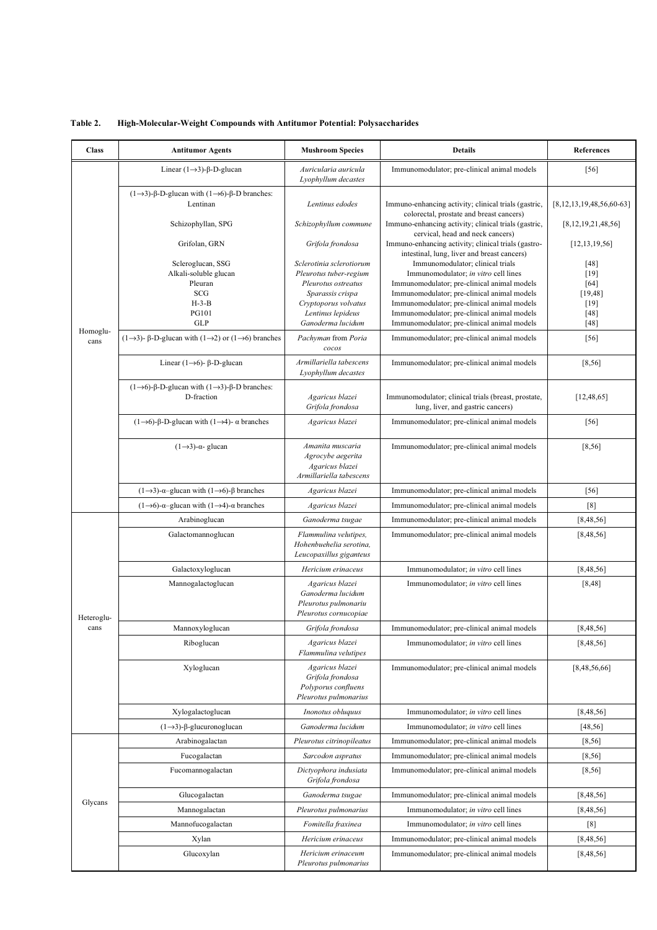| <b>Class</b>       | <b>Antitumor Agents</b>                                                                       | <b>Mushroom Species</b>                                                               | <b>Details</b>                                                                                     | <b>References</b>               |
|--------------------|-----------------------------------------------------------------------------------------------|---------------------------------------------------------------------------------------|----------------------------------------------------------------------------------------------------|---------------------------------|
|                    | Linear $(1\rightarrow 3)$ - $\beta$ -D-glucan                                                 | Auricularia auricula<br>Lyophyllum decastes                                           | Immunomodulator; pre-clinical animal models                                                        | $[56]$                          |
|                    | $(1\rightarrow 3)$ -β-D-glucan with $(1\rightarrow 6)$ -β-D branches:<br>Lentinan             | Lentinus edodes                                                                       | Immuno-enhancing activity; clinical trials (gastric,<br>colorectal, prostate and breast cancers)   | [8, 12, 13, 19, 48, 56, 60, 63] |
|                    | Schizophyllan, SPG                                                                            | Schizophyllum commune                                                                 | Immuno-enhancing activity; clinical trials (gastric,<br>cervical, head and neck cancers)           | [8,12,19,21,48,56]              |
|                    | Grifolan, GRN                                                                                 | Grifola frondosa                                                                      | Immuno-enhancing activity; clinical trials (gastro-<br>intestinal, lung, liver and breast cancers) | [12, 13, 19, 56]                |
|                    | Scleroglucan, SSG                                                                             | Sclerotinia sclerotiorum                                                              | Immunomodulator; clinical trials                                                                   | $[48]$                          |
|                    | Alkali-soluble glucan                                                                         | Pleurotus tuber-regium                                                                | Immunomodulator; in vitro cell lines                                                               | [19]                            |
|                    | Pleuran<br>SCG                                                                                | Pleurotus ostreatus<br>Sparassis crispa                                               | Immunomodulator; pre-clinical animal models<br>Immunomodulator; pre-clinical animal models         | $[64]$<br>[19, 48]              |
|                    | $H-3-B$                                                                                       | Cryptoporus volvatus                                                                  | Immunomodulator; pre-clinical animal models                                                        | $[19]$                          |
|                    | <b>PG101</b>                                                                                  | Lentinus lepideus                                                                     | Immunomodulator; pre-clinical animal models                                                        | $[48]$                          |
| Homoglu-           | <b>GLP</b>                                                                                    | Ganoderma lucidum                                                                     | Immunomodulator; pre-clinical animal models                                                        | $[48]$                          |
| cans               | $(1\rightarrow 3)$ - $\beta$ -D-glucan with $(1\rightarrow 2)$ or $(1\rightarrow 6)$ branches | Pachyman from Poria<br>cocos                                                          | Immunomodulator; pre-clinical animal models                                                        | $[56]$                          |
|                    | Linear (1 $\rightarrow$ 6)- $\beta$ -D-glucan                                                 | Armillariella tabescens<br>Lyophyllum decastes                                        | Immunomodulator; pre-clinical animal models                                                        | [8, 56]                         |
|                    | $(1\rightarrow 6)$ -β-D-glucan with $(1\rightarrow 3)$ -β-D branches:<br>D-fraction           | Agaricus blazei<br>Grifola frondosa                                                   | Immunomodulator; clinical trials (breast, prostate,<br>lung, liver, and gastric cancers)           | [12, 48, 65]                    |
|                    | $(1\rightarrow 6)$ -β-D-glucan with $(1\rightarrow 4)$ - α branches                           | Agaricus blazei                                                                       | Immunomodulator; pre-clinical animal models                                                        | $[56]$                          |
|                    | $(1\rightarrow 3)$ -a-glucan                                                                  | Amanita muscaria<br>Agrocybe aegerita<br>Agaricus blazei<br>Armillariella tabescens   | Immunomodulator; pre-clinical animal models                                                        | [8, 56]                         |
|                    | $(1\rightarrow 3)$ - $\alpha$ -glucan with $(1\rightarrow 6)$ - $\beta$ branches              | Agaricus blazei                                                                       | Immunomodulator; pre-clinical animal models                                                        | $[56]$                          |
|                    | $(1\rightarrow 6)$ - $\alpha$ -glucan with $(1\rightarrow 4)$ - $\alpha$ branches             | Agaricus blazei                                                                       | Immunomodulator; pre-clinical animal models                                                        | [8]                             |
|                    | Arabinoglucan                                                                                 | Ganoderma tsugae                                                                      | Immunomodulator; pre-clinical animal models                                                        | [8, 48, 56]                     |
|                    | Galactomannoglucan                                                                            | Flammulina velutipes,<br>Hohenbuehelia serotina,<br>Leucopaxillus giganteus           | Immunomodulator; pre-clinical animal models                                                        | [8,48,56]                       |
|                    | Galactoxyloglucan                                                                             | Hericium erinaceus                                                                    | Immunomodulator; in vitro cell lines                                                               | [8,48,56]                       |
|                    | Mannogalactoglucan                                                                            | Agaricus blazei<br>Ganoderma lucidum<br>Pleurotus pulmonariu<br>Pleurotus cornucopiae | Immunomodulator; in vitro cell lines                                                               | [8,48]                          |
| Heteroglu-<br>cans | Mannoxyloglucan                                                                               | Grifola frondosa                                                                      | Immunomodulator; pre-clinical animal models                                                        | [8, 48, 56]                     |
|                    | Riboglucan                                                                                    | Agaricus blazei<br>Flammulina velutipes                                               | Immunomodulator; in vitro cell lines                                                               | [8,48,56]                       |
|                    | Xyloglucan                                                                                    | Agaricus blazei<br>Grifola frondosa<br>Polyporus confluens<br>Pleurotus pulmonarius   | Immunomodulator; pre-clinical animal models                                                        | [8,48,56,66]                    |
|                    | Xylogalactoglucan                                                                             | Inonotus obluquus                                                                     | Immunomodulator; in vitro cell lines                                                               | [8, 48, 56]                     |
|                    | $(1\rightarrow 3)$ - $\beta$ -glucuronoglucan                                                 | Ganoderma lucidum                                                                     | Immunomodulator; in vitro cell lines                                                               | [48, 56]                        |
|                    | Arabinogalactan                                                                               | Pleurotus citrinopileatus                                                             | Immunomodulator; pre-clinical animal models                                                        | $[8,56]$                        |
|                    | Fucogalactan                                                                                  | Sarcodon aspratus                                                                     | Immunomodulator; pre-clinical animal models                                                        | [8, 56]                         |
| Glycans            | Fucomannogalactan                                                                             | Dictyophora indusiata<br>Grifola frondosa                                             | Immunomodulator; pre-clinical animal models                                                        | $[8,56]$                        |
|                    | Glucogalactan                                                                                 | Ganoderma tsugae                                                                      | Immunomodulator; pre-clinical animal models                                                        | [8,48,56]                       |
|                    | Mannogalactan                                                                                 | Pleurotus pulmonarius                                                                 | Immunomodulator; in vitro cell lines                                                               | [8,48,56]                       |
|                    | Mannofucogalactan                                                                             | Fomitella fraxinea                                                                    | Immunomodulator; in vitro cell lines                                                               | [8]                             |
|                    | Xylan                                                                                         | Hericium erinaceus                                                                    | Immunomodulator; pre-clinical animal models                                                        | [8, 48, 56]                     |
|                    | Glucoxylan                                                                                    | Hericium erinaceum<br>Pleurotus pulmonarius                                           | Immunomodulator; pre-clinical animal models                                                        | [8, 48, 56]                     |

## **Table 2. High-Molecular-Weight Compounds with Antitumor Potential: Polysaccharides**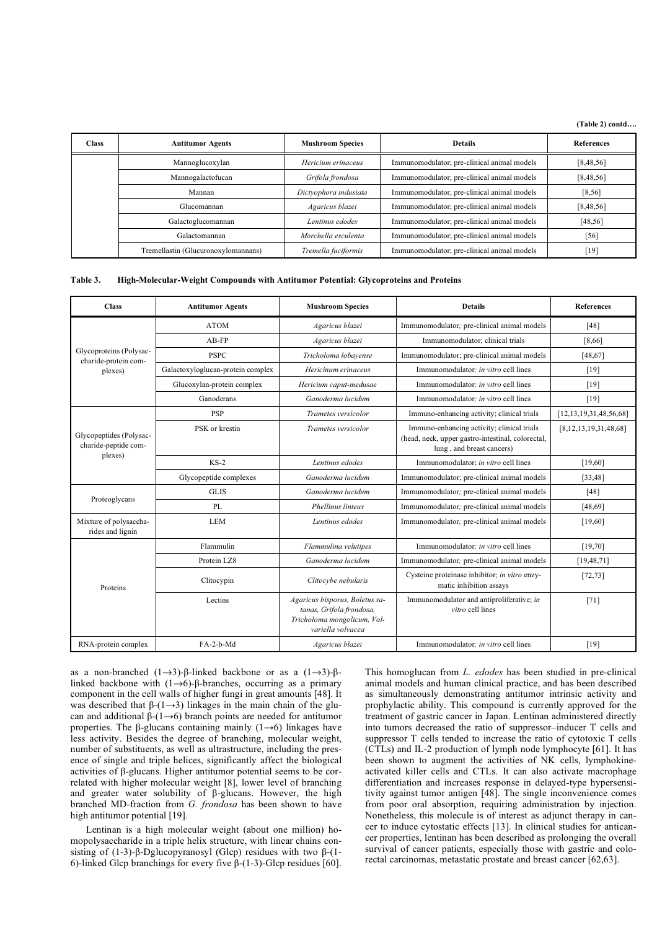**(Table 2) contd….** 

| <b>Class</b> | <b>Antitumor Agents</b>             | <b>Mushroom Species</b> | <b>Details</b>                              | <b>References</b> |
|--------------|-------------------------------------|-------------------------|---------------------------------------------|-------------------|
|              | Mannoglucoxylan                     | Hericium erinaceus      | Immunomodulator; pre-clinical animal models | [8, 48, 56]       |
|              | Mannogalactofucan                   | Grifola frondosa        | Immunomodulator; pre-clinical animal models | [8,48,56]         |
|              | Mannan                              | Dictyophora indusiata   | Immunomodulator; pre-clinical animal models | [8, 56]           |
|              | Glucomannan                         | Agaricus blazei         | Immunomodulator; pre-clinical animal models | [8,48,56]         |
|              | Galactoglucomannan                  | Lentinus edodes         | Immunomodulator; pre-clinical animal models | [48, 56]          |
|              | Galactomannan                       | Morchella esculenta     | Immunomodulator; pre-clinical animal models | $[56]$            |
|              | Tremellastin (Glucuronoxylomannans) | Tremella fuciformis     | Immunomodulator; pre-clinical animal models | [19]              |

### **Table 3. High-Molecular-Weight Compounds with Antitumor Potential: Glycoproteins and Proteins**

| <b>Class</b>                                               | <b>Antitumor Agents</b>           | <b>Mushroom Species</b>                                                                                        | <b>Details</b>                                                                                                               | <b>References</b>            |
|------------------------------------------------------------|-----------------------------------|----------------------------------------------------------------------------------------------------------------|------------------------------------------------------------------------------------------------------------------------------|------------------------------|
|                                                            | <b>ATOM</b>                       | Agaricus blazei                                                                                                | Immunomodulator; pre-clinical animal models                                                                                  | [48]                         |
|                                                            | $AB-FP$                           | Agaricus blazei                                                                                                | Immunomodulator; clinical trials                                                                                             | [8,66]                       |
| Glycoproteins (Polysac-<br>charide-protein com-            | <b>PSPC</b>                       | Tricholoma lobayense                                                                                           | Immunomodulator; pre-clinical animal models                                                                                  | [48, 67]                     |
| plexes)                                                    | Galactoxyloglucan-protein complex | Hericinum erinaceus                                                                                            | Immunomodulator: in vitro cell lines                                                                                         | [19]                         |
|                                                            | Glucoxylan-protein complex        | Hericium caput-medusae                                                                                         | Immunomodulator; in vitro cell lines                                                                                         | [19]                         |
|                                                            | Ganoderans                        | Ganoderma lucidum                                                                                              | Immunomodulator: in vitro cell lines                                                                                         | [19]                         |
| Glycopeptides (Polysac-<br>charide-peptide com-<br>plexes) | <b>PSP</b>                        | Trametes versicolor                                                                                            | Immuno-enhancing activity; clinical trials                                                                                   | [12, 13, 19, 31, 48, 56, 68] |
|                                                            | PSK or krestin                    | Trametes versicolor                                                                                            | Immuno-enhancing activity; clinical trials<br>(head, neck, upper gastro-intestinal, colorectal,<br>lung, and breast cancers) | [8,12,13,19,31,48,68]        |
|                                                            | $KS-2$                            | Lentinus edodes                                                                                                | Immunomodulator; in vitro cell lines                                                                                         | [19,60]                      |
|                                                            | Glycopeptide complexes            | Ganoderma lucidum                                                                                              | Immunomodulator; pre-clinical animal models                                                                                  | [33, 48]                     |
| Proteoglycans                                              | <b>GLIS</b>                       | Ganoderma lucidum                                                                                              | Immunomodulator; pre-clinical animal models                                                                                  | [48]                         |
|                                                            | PL                                | <b>Phellinus linteus</b>                                                                                       | Immunomodulator; pre-clinical animal models                                                                                  | [48, 69]                     |
| Mixture of polysaccha-<br>rides and lignin                 | <b>LEM</b>                        | Lentinus edodes                                                                                                | Immunomodulator; pre-clinical animal models                                                                                  | [19,60]                      |
|                                                            | Flammulin                         | Flammulina velutipes                                                                                           | Immunomodulator: in vitro cell lines                                                                                         | [19,70]                      |
|                                                            | Protein LZ8                       | Ganoderma lucidum                                                                                              | Immunomodulator; pre-clinical animal models                                                                                  | [19, 48, 71]                 |
| Proteins                                                   | Clitocypin                        | Clitocybe nebularis                                                                                            | Cysteine proteinase inhibitor; in vitro enzy-<br>matic inhibition assays                                                     | [72, 73]                     |
|                                                            | Lectins                           | Agaricus bisporus, Boletus sa-<br>tanas, Grifola frondosa,<br>Tricholoma mongolicum, Vol-<br>variella volvacea | Immunomodulator and antiproliferative; in<br>vitro cell lines                                                                | $[71]$                       |
| RNA-protein complex                                        | $FA-2-h-Md$                       | Agaricus blazei                                                                                                | Immunomodulator: in vitro cell lines                                                                                         | $[19]$                       |

as a non-branched  $(1\rightarrow 3)$ - $\beta$ -linked backbone or as a  $(1\rightarrow 3)$ - $\beta$ linked backbone with  $(1\rightarrow 6)$ - $\beta$ -branches, occurring as a primary component in the cell walls of higher fungi in great amounts [48]. It was described that  $\beta$ -(1 $\rightarrow$ 3) linkages in the main chain of the glucan and additional  $\beta$ -(1–6) branch points are needed for antitumor properties. The  $\beta$ -glucans containing mainly (1 $\rightarrow$ 6) linkages have less activity. Besides the degree of branching, molecular weight, number of substituents, as well as ultrastructure, including the presence of single and triple helices, significantly affect the biological activities of  $\beta$ -glucans. Higher antitumor potential seems to be correlated with higher molecular weight [8], lower level of branching and greater water solubility of  $\beta$ -glucans. However, the high branched MD-fraction from *G. frondosa* has been shown to have high antitumor potential [19].

 Lentinan is a high molecular weight (about one million) homopolysaccharide in a triple helix structure, with linear chains consisting of  $(1-3)$ - $\beta$ -Dglucopyranosyl (Glcp) residues with two  $\beta$ - $(1-$ 6)-linked Glcp branchings for every five  $\beta$ -(1-3)-Glcp residues [60]. This homoglucan from *L. edodes* has been studied in pre-clinical animal models and human clinical practice, and has been described as simultaneously demonstrating antitumor intrinsic activity and prophylactic ability. This compound is currently approved for the treatment of gastric cancer in Japan. Lentinan administered directly into tumors decreased the ratio of suppressor–inducer T cells and suppressor T cells tended to increase the ratio of cytotoxic T cells (CTLs) and IL-2 production of lymph node lymphocyte [61]. It has been shown to augment the activities of NK cells, lymphokineactivated killer cells and CTLs. It can also activate macrophage differentiation and increases response in delayed-type hypersensitivity against tumor antigen [48]. The single inconvenience comes from poor oral absorption, requiring administration by injection. Nonetheless, this molecule is of interest as adjunct therapy in cancer to induce cytostatic effects [13]. In clinical studies for anticancer properties, lentinan has been described as prolonging the overall survival of cancer patients, especially those with gastric and colorectal carcinomas, metastatic prostate and breast cancer [62,63].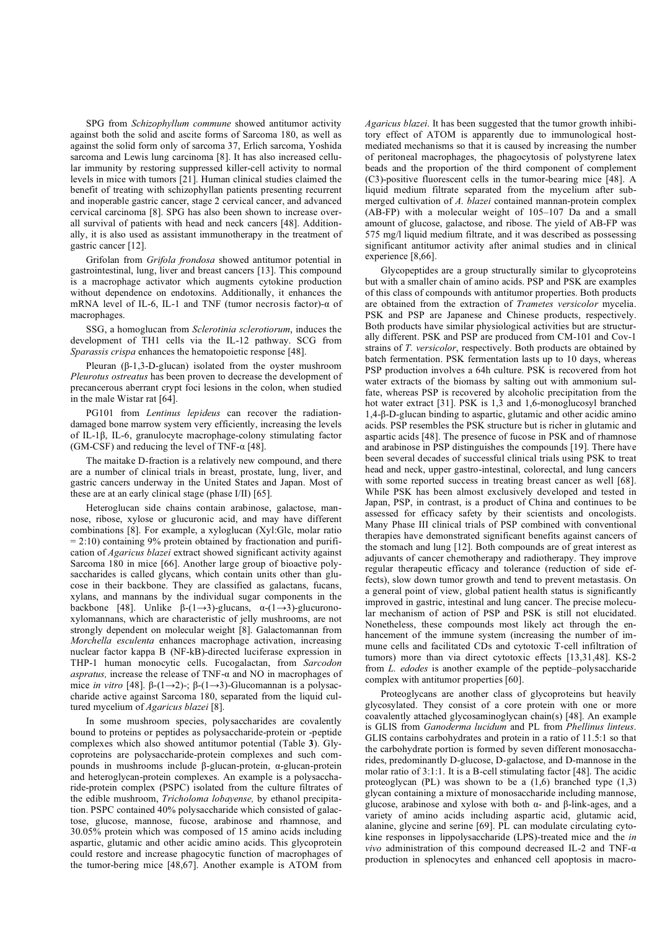SPG from *Schizophyllum commune* showed antitumor activity against both the solid and ascite forms of Sarcoma 180, as well as against the solid form only of sarcoma 37, Erlich sarcoma, Yoshida sarcoma and Lewis lung carcinoma [8]. It has also increased cellular immunity by restoring suppressed killer-cell activity to normal levels in mice with tumors [21]. Human clinical studies claimed the benefit of treating with schizophyllan patients presenting recurrent and inoperable gastric cancer, stage 2 cervical cancer, and advanced cervical carcinoma [8]. SPG has also been shown to increase overall survival of patients with head and neck cancers [48]. Additionally, it is also used as assistant immunotherapy in the treatment of gastric cancer [12].

 Grifolan from *Grifola frondosa* showed antitumor potential in gastrointestinal, lung, liver and breast cancers [13]. This compound is a macrophage activator which augments cytokine production without dependence on endotoxins. Additionally, it enhances the mRNA level of IL-6, IL-1 and TNF (tumor necrosis factor)- $\alpha$  of macrophages.

 SSG, a homoglucan from *Sclerotinia sclerotiorum*, induces the development of TH1 cells via the IL-12 pathway. SCG from *Sparassis crispa* enhances the hematopoietic response [48].

Pleuran  $(\beta-1,3-D-glucan)$  isolated from the oyster mushroom *Pleurotus ostreatus* has been proven to decrease the development of precancerous aberrant crypt foci lesions in the colon, when studied in the male Wistar rat [64].

 PG101 from *Lentinus lepideus* can recover the radiationdamaged bone marrow system very efficiently, increasing the levels of IL-1 $\beta$ , IL-6, granulocyte macrophage-colony stimulating factor (GM-CSF) and reducing the level of TNF- $\alpha$  [48].

 The maitake D-fraction is a relatively new compound, and there are a number of clinical trials in breast, prostate, lung, liver, and gastric cancers underway in the United States and Japan. Most of these are at an early clinical stage (phase I/II) [65].

 Heteroglucan side chains contain arabinose, galactose, mannose, ribose, xylose or glucuronic acid, and may have different combinations [8]. For example, a xyloglucan (Xyl:Glc, molar ratio  $= 2:10$ ) containing 9% protein obtained by fractionation and purification of *Agaricus blazei* extract showed significant activity against Sarcoma 180 in mice [66]. Another large group of bioactive polysaccharides is called glycans, which contain units other than glucose in their backbone. They are classified as galactans, fucans, xylans, and mannans by the individual sugar components in the backbone [48]. Unlike  $\beta$ -(1 $\rightarrow$ 3)-glucans,  $\alpha$ -(1 $\rightarrow$ 3)-glucuronoxylomannans, which are characteristic of jelly mushrooms, are not strongly dependent on molecular weight [8]. Galactomannan from *Morchella esculenta* enhances macrophage activation, increasing nuclear factor kappa B (NF-kB)-directed luciferase expression in THP-1 human monocytic cells. Fucogalactan, from *Sarcodon aspratus,* increase the release of TNF- $\alpha$  and NO in macrophages of mice *in vitro* [48].  $\beta$ -(1-2)-;  $\beta$ -(1-2)-Glucomannan is a polysaccharide active against Sarcoma 180, separated from the liquid cultured mycelium of *Agaricus blazei* [8].

 In some mushroom species, polysaccharides are covalently bound to proteins or peptides as polysaccharide-protein or -peptide complexes which also showed antitumor potential (Table **3**). Glycoproteins are polysaccharide-protein complexes and such compounds in mushrooms include  $\beta$ -glucan-protein,  $\alpha$ -glucan-protein and heteroglycan-protein complexes. An example is a polysaccharide-protein complex (PSPC) isolated from the culture filtrates of the edible mushroom, *Tricholoma lobayense,* by ethanol precipitation. PSPC contained 40% polysaccharide which consisted of galactose, glucose, mannose, fucose, arabinose and rhamnose, and 30.05% protein which was composed of 15 amino acids including aspartic, glutamic and other acidic amino acids. This glycoprotein could restore and increase phagocytic function of macrophages of the tumor-bering mice [48,67]. Another example is ATOM from *Agaricus blazei*. It has been suggested that the tumor growth inhibitory effect of ATOM is apparently due to immunological hostmediated mechanisms so that it is caused by increasing the number of peritoneal macrophages, the phagocytosis of polystyrene latex beads and the proportion of the third component of complement (C3)-positive fluorescent cells in the tumor-bearing mice [48]. A liquid medium filtrate separated from the mycelium after submerged cultivation of *A. blazei* contained mannan-protein complex (AB-FP) with a molecular weight of 105–107 Da and a small amount of glucose, galactose, and ribose. The yield of AB-FP was 575 mg/l liquid medium filtrate, and it was described as possessing significant antitumor activity after animal studies and in clinical experience [8,66].

 Glycopeptides are a group structurally similar to glycoproteins but with a smaller chain of amino acids. PSP and PSK are examples of this class of compounds with antitumor properties. Both products are obtained from the extraction of *Trametes versicolor* mycelia. PSK and PSP are Japanese and Chinese products, respectively. Both products have similar physiological activities but are structurally different. PSK and PSP are produced from CM-101 and Cov-1 strains of *T. versicolor*, respectively. Both products are obtained by batch fermentation. PSK fermentation lasts up to 10 days, whereas PSP production involves a 64h culture. PSK is recovered from hot water extracts of the biomass by salting out with ammonium sulfate, whereas PSP is recovered by alcoholic precipitation from the hot water extract [31]. PSK is 1,3 and 1,6-monoglucosyl branched  $1,4$ - $\beta$ -D-glucan binding to aspartic, glutamic and other acidic amino acids. PSP resembles the PSK structure but is richer in glutamic and aspartic acids [48]. The presence of fucose in PSK and of rhamnose and arabinose in PSP distinguishes the compounds [19]. There have been several decades of successful clinical trials using PSK to treat head and neck, upper gastro-intestinal, colorectal, and lung cancers with some reported success in treating breast cancer as well [68]. While PSK has been almost exclusively developed and tested in Japan, PSP, in contrast, is a product of China and continues to be assessed for efficacy safety by their scientists and oncologists. Many Phase III clinical trials of PSP combined with conventional therapies have demonstrated significant benefits against cancers of the stomach and lung [12]. Both compounds are of great interest as adjuvants of cancer chemotherapy and radiotherapy. They improve regular therapeutic efficacy and tolerance (reduction of side effects), slow down tumor growth and tend to prevent metastasis. On a general point of view, global patient health status is significantly improved in gastric, intestinal and lung cancer. The precise molecular mechanism of action of PSP and PSK is still not elucidated. Nonetheless, these compounds most likely act through the enhancement of the immune system (increasing the number of immune cells and facilitated CDs and cytotoxic T-cell infiltration of tumors) more than via direct cytotoxic effects [13,31,48]. KS-2 from *L. edodes* is another example of the peptide–polysaccharide complex with antitumor properties [60].

 Proteoglycans are another class of glycoproteins but heavily glycosylated. They consist of a core protein with one or more coavalently attached glycosaminoglycan chain(s) [48]. An example is GLIS from *Ganoderma lucidum* and PL from *Phellinus linteus*. GLIS contains carbohydrates and protein in a ratio of 11.5:1 so that the carbohydrate portion is formed by seven different monosaccharides, predominantly D-glucose, D-galactose, and D-mannose in the molar ratio of 3:1:1. It is a B-cell stimulating factor [48]. The acidic proteoglycan (PL) was shown to be a  $(1,6)$  branched type  $(1,3)$ glycan containing a mixture of monosaccharide including mannose, glucose, arabinose and xylose with both  $\alpha$ - and  $\beta$ -link-ages, and a variety of amino acids including aspartic acid, glutamic acid, alanine, glycine and serine [69]. PL can modulate circulating cytokine responses in lippolysaccharide (LPS)-treated mice and the *in vivo* administration of this compound decreased IL-2 and TNF- $\alpha$ production in splenocytes and enhanced cell apoptosis in macro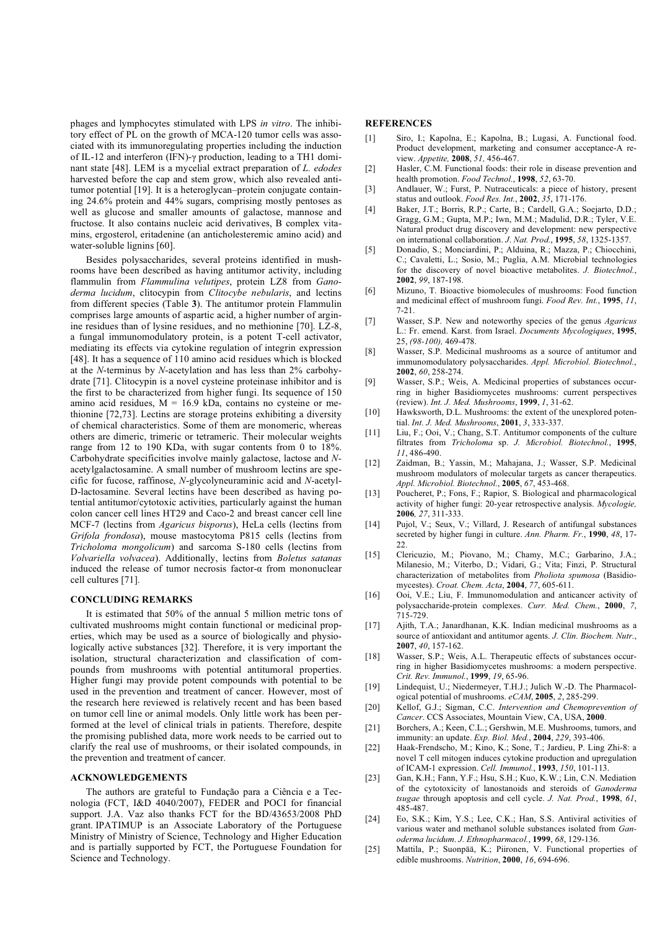phages and lymphocytes stimulated with LPS *in vitro*. The inhibitory effect of PL on the growth of MCA-120 tumor cells was associated with its immunoregulating properties including the induction of IL-12 and interferon (IFN)- $\gamma$  production, leading to a TH1 dominant state [48]. LEM is a mycelial extract preparation of *L. edodes* harvested before the cap and stem grow, which also revealed antitumor potential [19]. It is a heteroglycan–protein conjugate containing 24.6% protein and 44% sugars, comprising mostly pentoses as well as glucose and smaller amounts of galactose, mannose and fructose. It also contains nucleic acid derivatives, B complex vitamins, ergosterol, eritadenine (an anticholesteremic amino acid) and water-soluble lignins [60].

 Besides polysaccharides, several proteins identified in mushrooms have been described as having antitumor activity, including flammulin from *Flammulina velutipes*, protein LZ8 from *Ganoderma lucidum*, clitocypin from *Clitocybe nebularis*, and lectins from different species (Table **3**). The antitumor protein Flammulin comprises large amounts of aspartic acid, a higher number of arginine residues than of lysine residues, and no methionine [70]. LZ-8, a fungal immunomodulatory protein, is a potent T-cell activator, mediating its effects via cytokine regulation of integrin expression [48]. It has a sequence of 110 amino acid residues which is blocked at the *N*-terminus by *N*-acetylation and has less than 2% carbohydrate [71]. Clitocypin is a novel cysteine proteinase inhibitor and is the first to be characterized from higher fungi. Its sequence of 150 amino acid residues,  $M = 16.9$  kDa, contains no cysteine or methionine [72,73]. Lectins are storage proteins exhibiting a diversity of chemical characteristics. Some of them are monomeric, whereas others are dimeric, trimeric or tetrameric. Their molecular weights range from 12 to 190 KDa, with sugar contents from 0 to 18%. Carbohydrate specificities involve mainly galactose, lactose and *N*acetylgalactosamine. A small number of mushroom lectins are specific for fucose, raffinose, *N*-glycolyneuraminic acid and *N*-acetyl-D-lactosamine. Several lectins have been described as having potential antitumor/cytotoxic activities, particularly against the human colon cancer cell lines HT29 and Caco-2 and breast cancer cell line MCF-7 (lectins from *Agaricus bisporus*), HeLa cells (lectins from *Grifola frondosa*), mouse mastocytoma P815 cells (lectins from *Tricholoma mongolicum*) and sarcoma S-180 cells (lectins from *Volvariella volvacea*). Additionally, lectins from *Boletus satanas*  induced the release of tumor necrosis factor- $\alpha$  from mononuclear cell cultures [71].

### **CONCLUDING REMARKS**

 It is estimated that 50% of the annual 5 million metric tons of cultivated mushrooms might contain functional or medicinal properties, which may be used as a source of biologically and physiologically active substances [32]. Therefore, it is very important the isolation, structural characterization and classification of compounds from mushrooms with potential antitumoral properties. Higher fungi may provide potent compounds with potential to be used in the prevention and treatment of cancer. However, most of the research here reviewed is relatively recent and has been based on tumor cell line or animal models. Only little work has been performed at the level of clinical trials in patients. Therefore, despite the promising published data, more work needs to be carried out to clarify the real use of mushrooms, or their isolated compounds, in the prevention and treatment of cancer.

## **ACKNOWLEDGEMENTS**

 The authors are grateful to Fundação para a Ciência e a Tecnologia (FCT, I&D 4040/2007), FEDER and POCI for financial support. J.A. Vaz also thanks FCT for the BD/43653/2008 PhD grant. IPATIMUP is an Associate Laboratory of the Portuguese Ministry of Ministry of Science, Technology and Higher Education and is partially supported by FCT, the Portuguese Foundation for Science and Technology.

#### **REFERENCES**

- [1] Siro, I.; Kapolna, E.; Kapolna, B.; Lugasi, A. Functional food. Product development, marketing and consumer acceptance-A review. *Appetite,* **2008**, *51,* 456-467.
- [2] Hasler, C.M. Functional foods: their role in disease prevention and health promotion. *Food Technol.*, **1998**, *52*, 63-70.
- [3] Andlauer, W.; Furst, P. Nutraceuticals: a piece of history, present status and outlook. *Food Res. Int.*, **2002**, *35*, 171-176.
- [4] Baker, J.T.; Borris, R.P.; Carte, B.; Cardell, G.A.; Soejarto, D.D.; Gragg, G.M.; Gupta, M.P.; Iwn, M.M.; Madulid, D.R.; Tyler, V.E. Natural product drug discovery and development: new perspective on international collaboration. *J*. *Nat. Prod.*, **1995**, *58*, 1325-1357.
- [5] Donadio, S.; Monciardini, P.; Alduina, R.; Mazza, P.; Chiocchini, C.; Cavaletti, L.; Sosio, M.; Puglia, A.M. Microbial technologies for the discovery of novel bioactive metabolites. *J. Biotechnol.*, **2002**, *99*, 187-198.
- [6] Mizuno, T. Bioactive biomolecules of mushrooms: Food function and medicinal effect of mushroom fungi. *Food Rev. Int.*, **1995**, *11*, 7-21.
- [7] Wasser, S.P. New and noteworthy species of the genus *Agaricus*  L.: Fr. emend. Karst. from Israel. *Documents Mycologiques*, **1995**, 25, *(98-100),* 469-478.
- [8] Wasser, S.P. Medicinal mushrooms as a source of antitumor and immunomodulatory polysaccharides. *Appl. Microbiol. Biotechnol.*, **2002**, *60*, 258-274.
- [9] Wasser, S.P.; Weis, A. Medicinal properties of substances occurring in higher Basidiomycetes mushrooms: current perspectives (review). *Int. J. Med. Mushrooms*, **1999**, *1*, 31-62.
- [10] Hawksworth, D.L. Mushrooms: the extent of the unexplored potential. *Int. J. Med. Mushrooms*, **2001**, *3*, 333-337.
- [11] Liu, F.; Ooi, V.; Chang, S.T. Antitumor components of the culture filtrates from *Tricholoma* sp. *J. Microbiol. Biotechnol.*, **1995**, *11*, 486-490.
- [12] Zaidman, B.; Yassin, M.; Mahajana, J.; Wasser, S.P. Medicinal mushroom modulators of molecular targets as cancer therapeutics. *Appl. Microbiol. Biotechnol.*, **2005**, *67*, 453-468.
- [13] Poucheret, P.; Fons, F.; Rapior, S. Biological and pharmacological activity of higher fungi: 20-year retrospective analysis. *Mycologie,*  **2006***, 27*, 311-333.
- [14] Pujol, V.; Seux, V.; Villard, J. Research of antifungal substances secreted by higher fungi in culture. *Ann. Pharm. Fr.*, **1990**, *48*, 17- 22.
- [15] Clericuzio, M.; Piovano, M.; Chamy, M.C.; Garbarino, J.A.; Milanesio, M.; Viterbo, D.; Vidari, G.; Vita; Finzi, P. Structural characterization of metabolites from *Pholiota spumosa* (Basidiomycestes). *Croat. Chem. Acta*, **2004**, *77*, 605-611.
- [16] Ooi, V.E.; Liu, F. Immunomodulation and anticancer activity of polysaccharide-protein complexes. *Curr. Med. Chem.*, **2000**, *7*, 715-729.
- [17] Ajith, T.A.; Janardhanan, K.K. Indian medicinal mushrooms as a source of antioxidant and antitumor agents. *J. Clin. Biochem. Nutr.*, **2007**, *40*, 157-162.
- [18] Wasser, S.P.; Weis, A.L. Therapeutic effects of substances occurring in higher Basidiomycetes mushrooms: a modern perspective. *Crit. Rev. Immunol.*, **1999**, *19*, 65-96.
- [19] Lindequist, U.; Niedermeyer, T.H.J.; Julich W.-D. The Pharmacological potential of mushrooms. *eCAM*, **2005**, *2*, 285-299.
- [20] Kellof, G.J.; Sigman, C.C. *Intervention and Chemoprevention of Cancer*. CCS Associates, Mountain View, CA, USA, **2000**.
- [21] Borchers, A.; Keen, C.L.; Gershwin, M.E. Mushrooms, tumors, and immunity: an update. *Exp. Biol. Med.*, **2004**, *229*, 393-406.
- [22] Haak-Frendscho, M.; Kino, K.; Sone, T.; Jardieu, P. Ling Zhi-8: a novel T cell mitogen induces cytokine production and upregulation of ICAM-1 expression. *Cell. Immunol.*, **1993**, *150*, 101-113.
- [23] Gan, K.H.; Fann, Y.F.; Hsu, S.H.; Kuo, K.W.; Lin, C.N. Mediation of the cytotoxicity of lanostanoids and steroids of *Ganoderma tsugae* through apoptosis and cell cycle. *J. Nat. Prod.*, **1998**, *61*, 485-487.
- [24] Eo, S.K.; Kim, Y.S.; Lee, C.K.; Han, S.S. Antiviral activities of various water and methanol soluble substances isolated from *Ganoderma lucidum*. *J. Ethnopharmacol.*, **1999**, *68*, 129-136.
- [25] Mattila, P.; Suonpää, K.; Piironen, V. Functional properties of edible mushrooms. *Nutrition*, **2000**, *16*, 694-696.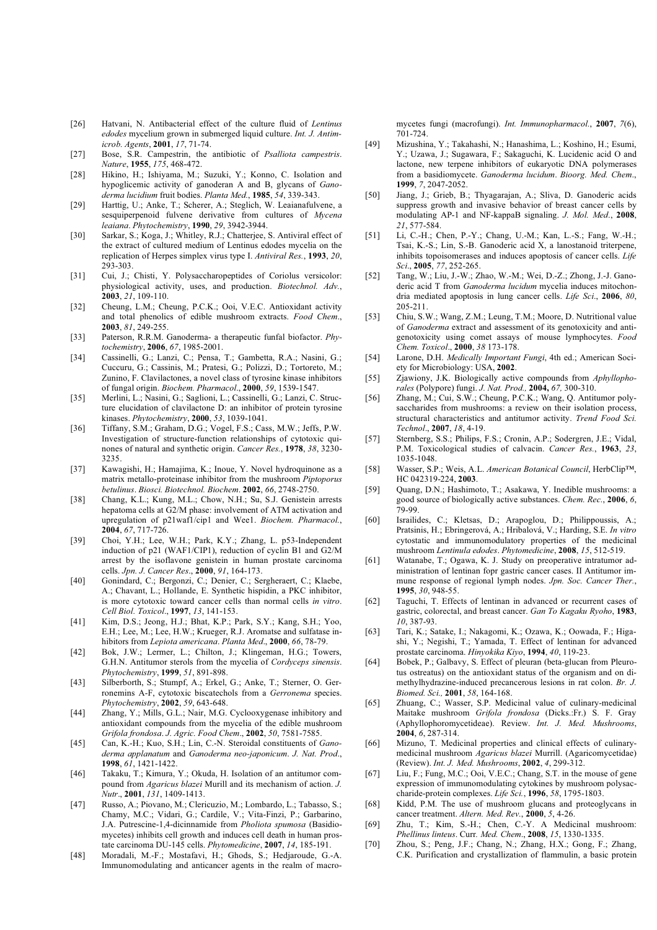- [26] Hatvani, N. Antibacterial effect of the culture fluid of *Lentinus edodes* mycelium grown in submerged liquid culture. *Int. J. Antimicrob. Agents*, **2001**, *17*, 71-74.
- [27] Bose, S.R. Campestrin, the antibiotic of *Psalliota campestris*. *Nature*, **1955**, *175*, 468-472.
- [28] Hikino, H.; Ishiyama, M.; Suzuki, Y.; Konno, C. Isolation and hypoglicemic activity of ganoderan A and B, glycans of *Ganoderma lucidium* fruit bodies. *Planta Med.*, **1985**, *54*, 339-343.
- [29] Harttig, U.; Anke, T.; Scherer, A.; Steglich, W. Leaianafulvene, a sesquiperpenoid fulvene derivative from cultures of *Mycena leaiana*. *Phytochemistry*, **1990**, *29*, 3942-3944.
- [30] Sarkar, S.; Koga, J.; Whitley, R.J.; Chatterjee, S. Antiviral effect of the extract of cultured medium of Lentinus edodes mycelia on the replication of Herpes simplex virus type I. *Antiviral Res.*, **1993**, *20*, 293-303.
- [31] Cui, J.; Chisti, Y. Polysaccharopeptides of Coriolus versicolor: physiological activity, uses, and production. *Biotechnol. Adv.*, **2003**, *21*, 109-110.
- [32] Cheung, L.M.; Cheung, P.C.K.; Ooi, V.E.C. Antioxidant activity and total phenolics of edible mushroom extracts. *Food Chem*., **2003**, *81*, 249-255.
- [33] Paterson, R.R.M. Ganoderma- a therapeutic funfal biofactor. *Phytochemistry*, **2006**, *67*, 1985-2001.
- [34] Cassinelli, G.; Lanzi, C.; Pensa, T.; Gambetta, R.A.; Nasini, G.; Cuccuru, G.; Cassinis, M.; Pratesi, G.; Polizzi, D.; Tortoreto, M.; Zunino, F. Clavilactones, a novel class of tyrosine kinase inhibitors of fungal origin. *Biochem. Pharmacol*., **2000**, *59*, 1539-1547.
- [35] Merlini, L.; Nasini, G.; Saglioni, L.; Cassinelli, G.; Lanzi, C. Structure elucidation of clavilactone D: an inhibitor of protein tyrosine kinases. *Phytochemistry*, **2000**, *53*, 1039-1041.
- [36] Tiffany, S.M.; Graham, D.G.; Vogel, F.S.; Cass, M.W.; Jeffs, P.W. Investigation of structure-function relationships of cytotoxic quinones of natural and synthetic origin. *Cancer Res.*, **1978**, *38*, 3230- 3235.
- [37] Kawagishi, H.; Hamajima, K.; Inoue, Y. Novel hydroquinone as a matrix metallo-proteinase inhibitor from the mushroom *Piptoporus betulinus*. *Biosci. Biotechnol. Biochem*. **2002**, *66*, 2748-2750.
- [38] Chang, K.L.; Kung, M.L.; Chow, N.H.; Su, S.J. Genistein arrests hepatoma cells at G2/M phase: involvement of ATM activation and upregulation of p21waf1/cip1 and Wee1. *Biochem. Pharmacol.*, **2004**, *67*, 717-726.
- [39] Choi, Y.H.; Lee, W.H.; Park, K.Y.; Zhang, L. p53-Independent induction of p21 (WAF1/CIP1), reduction of cyclin B1 and G2/M arrest by the isoflavone genistein in human prostate carcinoma cells. *Jpn. J. Cancer Res*., **2000**, *91*, 164-173.
- [40] Gonindard, C.; Bergonzi, C.; Denier, C.; Sergheraert, C.; Klaebe, A.; Chavant, L.; Hollande, E. Synthetic hispidin, a PKC inhibitor, is more cytotoxic toward cancer cells than normal cells *in vitro*. *Cell Biol. Toxicol*., **1997**, *13*, 141-153.
- [41] Kim, D.S.; Jeong, H.J.; Bhat, K.P.; Park, S.Y.; Kang, S.H.; Yoo, E.H.; Lee, M.; Lee, H.W.; Krueger, R.J. Aromatse and sulfatase inhibitors from *Lepiota americana*. *Planta Med*., **2000**, *66*, 78-79.
- [42] Bok, J.W.; Lermer, L.; Chilton, J.; Klingeman, H.G.; Towers, G.H.N. Antitumor sterols from the mycelia of *Cordyceps sinensis*. *Phytochemistry*, **1999**, *51*, 891-898.
- [43] Silberborth, S.; Stumpf, A.; Erkel, G.; Anke, T.; Sterner, O. Gerronemins A-F, cytotoxic biscatechols from a *Gerronema* species. *Phytochemistry*, **2002**, *59*, 643-648.
- [44] Zhang, Y.; Mills, G.L.; Nair, M.G. Cyclooxygenase inhibitory and antioxidant compounds from the mycelia of the edible mushroom *Grifola frondosa*. *J. Agric. Food Chem*., **2002**, *50*, 7581-7585.
- [45] Can, K.-H.; Kuo, S.H.; Lin, C.-N. Steroidal constituents of *Ganoderma applanatum* and *Ganoderma neo-japonicum*. *J. Nat. Prod*., **1998**, *61*, 1421-1422.
- [46] Takaku, T.; Kimura, Y.; Okuda, H. Isolation of an antitumor compound from *Agaricus blazei* Murill and its mechanism of action. *J. Nutr*., **2001**, *131*, 1409-1413.
- [47] Russo, A.; Piovano, M.; Clericuzio, M.; Lombardo, L.; Tabasso, S.; Chamy, M.C.; Vidari, G.; Cardile, V.; Vita-Finzi, P.; Garbarino, J.A. Putrescine-1,4-dicinnamide from *Pholiota spumosa* (Basidiomycetes) inhibits cell growth and induces cell death in human prostate carcinoma DU-145 cells. *Phytomedicine*, **2007**, *14*, 185-191.
- [48] Moradali, M.-F.; Mostafavi, H.; Ghods, S.; Hedjaroude, G.-A. Immunomodulating and anticancer agents in the realm of macro-

mycetes fungi (macrofungi). *Int. Immunopharmacol.*, **2007**, *7*(6), 701-724.

- [49] Mizushina, Y.; Takahashi, N.; Hanashima, L.; Koshino, H.; Esumi, Y.; Uzawa, J.; Sugawara, F.; Sakaguchi, K. Lucidenic acid O and lactone, new terpene inhibitors of eukaryotic DNA polymerases from a basidiomycete. *Ganoderma lucidum*. *Bioorg. Med. Chem*., **1999**, *7*, 2047-2052.
- [50] Jiang, J.; Grieb, B.; Thyagarajan, A.; Sliva, D. Ganoderic acids suppress growth and invasive behavior of breast cancer cells by modulating AP-1 and NF-kappaB signaling. *J. Mol. Med*., **2008**, *21*, 577-584.
- [51] Li, C.-H.; Chen, P.-Y.; Chang, U.-M.; Kan, L.-S.; Fang, W.-H.; Tsai, K.-S.; Lin, S.-B. Ganoderic acid X, a lanostanoid triterpene, inhibits topoisomerases and induces apoptosis of cancer cells. *Life Sci*., **2005**, *77*, 252-265.
- [52] Tang, W.; Liu, J.-W.; Zhao, W.-M.; Wei, D.-Z.; Zhong, J.-J. Ganoderic acid T from *Ganoderma lucidum* mycelia induces mitochondria mediated apoptosis in lung cancer cells. *Life Sci*., **2006**, *80*, 205-211.
- [53] Chiu, S.W.; Wang, Z.M.; Leung, T.M.; Moore, D. Nutritional value of *Ganoderma* extract and assessment of its genotoxicity and antigenotoxicity using comet assays of mouse lymphocytes. *Food Chem. Toxicol*., **2000**, *38* 173-178.
- [54] Larone, D.H. *Medically Important Fungi*, 4th ed.; American Society for Microbiology: USA, **2002**.
- [55] Zjawiony, J.K. Biologically active compounds from *Aphyllophorales* (Polypore) fungi. *J. Nat. Prod.,* **2004,** *67,* 300-310.
- [56] Zhang, M.; Cui, S.W.; Cheung, P.C.K.; Wang, Q. Antitumor polysaccharides from mushrooms: a review on their isolation process, structural characteristics and antitumor activity. *Trend Food Sci. Technol*., **2007**, *18*, 4-19.
- [57] Sternberg, S.S.; Philips, F.S.; Cronin, A.P.; Sodergren, J.E.; Vidal, P.M. Toxicological studies of calvacin. *Cancer Res.*, **1963**, *23*, 1035-1048.
- [58] Wasser, S.P.; Weis, A.L. *American Botanical Council*, HerbClip™, HC 042319-224, **2003**.
- [59] Quang, D.N.; Hashimoto, T.; Asakawa, Y. Inedible mushrooms: a good source of biologically active substances. *Chem. Rec.*, **2006**, *6*, 79-99.
- [60] Israilides, C.; Kletsas, D.; Arapoglou, D.; Philippoussis, A.; Pratsinis, H.; Ebringerová, A.; Hribalová, V.; Harding, S.E. *In vitro* cytostatic and immunomodulatory properties of the medicinal mushroom *Lentinula edodes*. *Phytomedicine*, **2008**, *15*, 512-519.
- [61] Watanabe, T.; Ogawa, K. J. Study on preoperative intratumor administration of lentinan fopr gastric cancer cases. II Antitumor immune response of regional lymph nodes. *Jpn. Soc. Cancer Ther.*, **1995**, *30*, 948-55.
- [62] Taguchi, T. Effects of lentinan in advanced or recurrent cases of gastric, colorectal, and breast cancer. *Gan To Kagaku Ryoho*, **1983**, *10*, 387-93.
- [63] Tari, K.; Satake, I.; Nakagomi, K.; Ozawa, K.; Oowada, F.; Higashi, Y.; Negishi, T.; Yamada, T. Effect of lentinan for advanced prostate carcinoma. *Hinyokika Kiyo*, **1994**, *40*, 119-23.
- [64] Bobek, P.; Galbavy, S. Effect of pleuran (beta-glucan from Pleurotus ostreatus) on the antioxidant status of the organism and on dimethylhydrazine-induced precancerous lesions in rat colon. *Br. J. Biomed. Sci.,* **2001**, *58*, 164-168.
- [65] Zhuang, C.; Wasser, S.P. Medicinal value of culinary-medicinal Maitake mushroom *Grifola frondosa* (Dicks.:Fr.) S. F. Gray (Aphyllophoromycetideae). Review. *Int. J. Med. Mushrooms*, **2004**, *6*, 287-314.
- [66] Mizuno, T. Medicinal properties and clinical effects of culinarymedicinal mushroom *Agaricus blazei* Murrill. (Agaricomycetidae) (Review). *Int. J. Med. Mushrooms*, **2002**, *4*, 299-312.
- [67] Liu, F.; Fung, M.C.; Ooi, V.E.C.; Chang, S.T. in the mouse of gene expression of immunomodulating cytokines by mushroom polysaccharide-protein complexes. *Life Sci.*, **1996**, *58*, 1795-1803.
- [68] Kidd, P.M. The use of mushroom glucans and proteoglycans in cancer treatment. *Altern. Med. Rev.*, **2000**, *5*, 4-26.
- [69] Zhu, T.; Kim, S.-H.; Chen, C.-Y. A Medicinal mushroom: *Phellinus linteus*. Curr*. Med. Chem*., **2008**, *15*, 1330-1335.
- [70] Zhou, S.; Peng, J.F.; Chang, N.; Zhang, H.X.; Gong, F.; Zhang, C.K. Purification and crystallization of flammulin, a basic protein